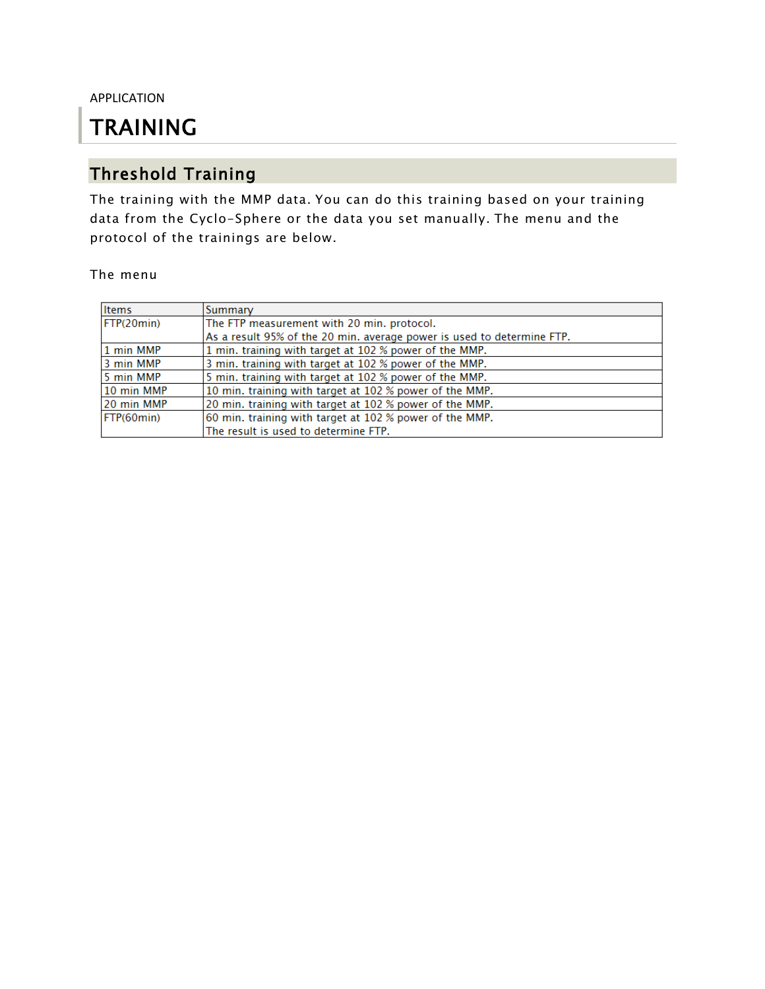APPLICATION

# TRAINING

# Threshold Training

The training with the MMP data. You can do this training based on your training data from the Cyclo-Sphere or the data you set manually. The menu and the protocol of the trainings are below.

#### The menu

| Items             | Summary                                                                |  |  |
|-------------------|------------------------------------------------------------------------|--|--|
| FTP(20min)        | The FTP measurement with 20 min. protocol.                             |  |  |
|                   | As a result 95% of the 20 min. average power is used to determine FTP. |  |  |
| 1 min MMP         | 1 min. training with target at 102 % power of the MMP.                 |  |  |
| 3 min MMP         | 3 min. training with target at 102 % power of the MMP.                 |  |  |
| 5 min MMP         | 5 min. training with target at 102 % power of the MMP.                 |  |  |
| 10 min MMP        | 10 min. training with target at 102 % power of the MMP.                |  |  |
| 20 min MMP        | 20 min. training with target at 102 % power of the MMP.                |  |  |
| <b>FTP(60min)</b> | 60 min. training with target at 102 % power of the MMP.                |  |  |
|                   | The result is used to determine FTP.                                   |  |  |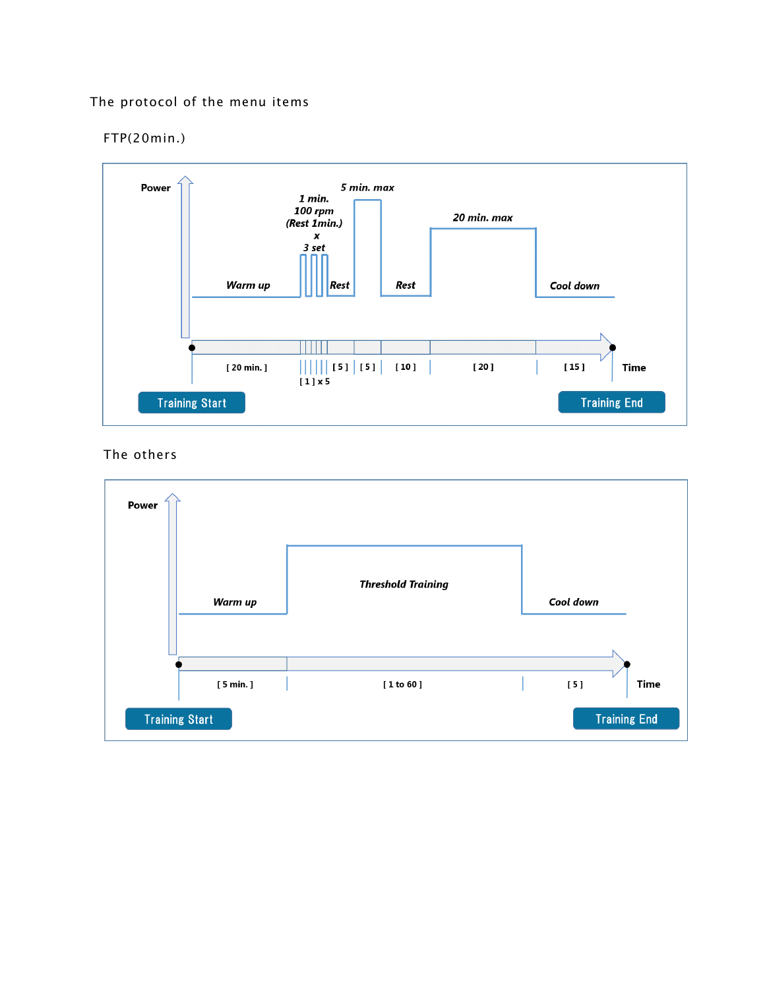### The protocol of the menu items

### FTP(20min.)



#### The others

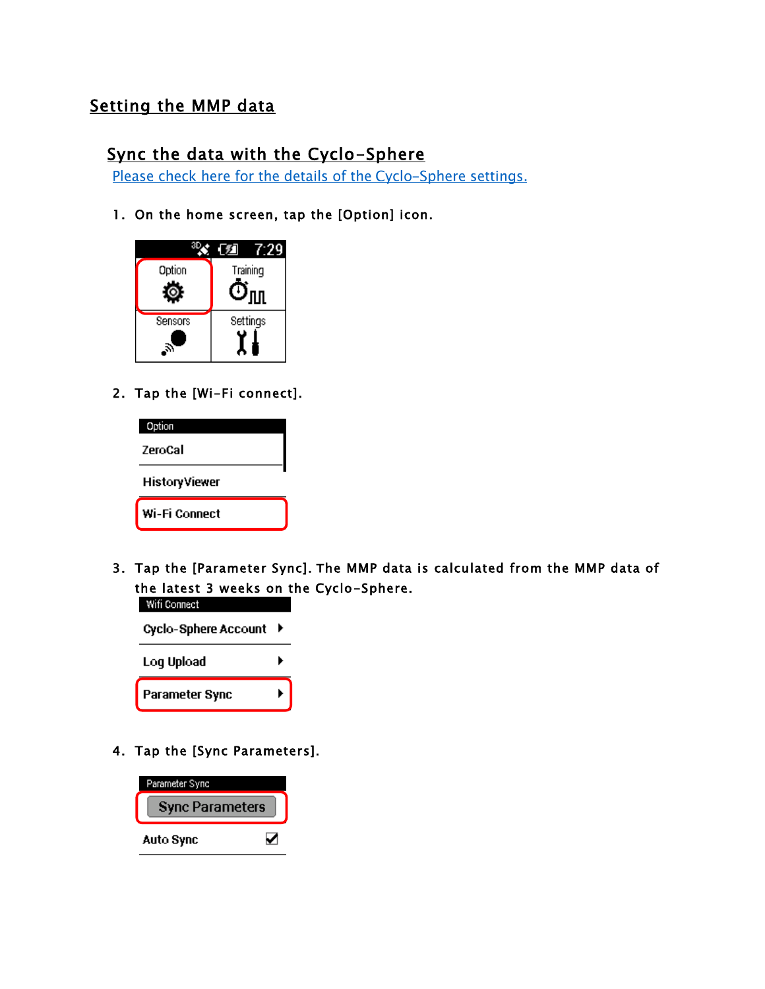### Setting the MMP data

### Sync the data with the Cyclo-Sphere

Please check here for the details of the Cyclo-Sphere settings.

1. On the home screen, tap the [Option] icon.



2. Tap the [Wi-Fi connect].



3. Tap the [Parameter Sync]. The MMP data is calculated from the MMP data of the latest 3 weeks on the Cyclo-Sphere.



4. Tap the [Sync Parameters].

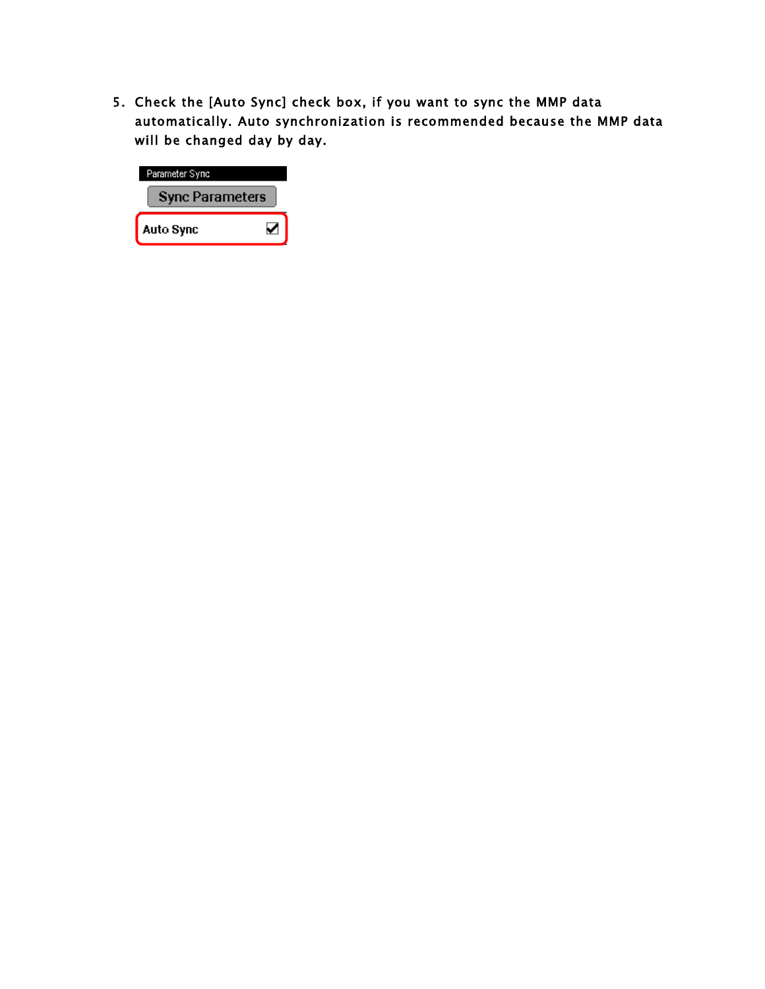5. Check the [Auto Sync] check box, if you want to sync the MMP data automatically. Auto synchronization is recommended because the MMP data will be changed day by day.

| Parameter Sync         |  |  |  |
|------------------------|--|--|--|
| <b>Sync Parameters</b> |  |  |  |
| Auto Sync              |  |  |  |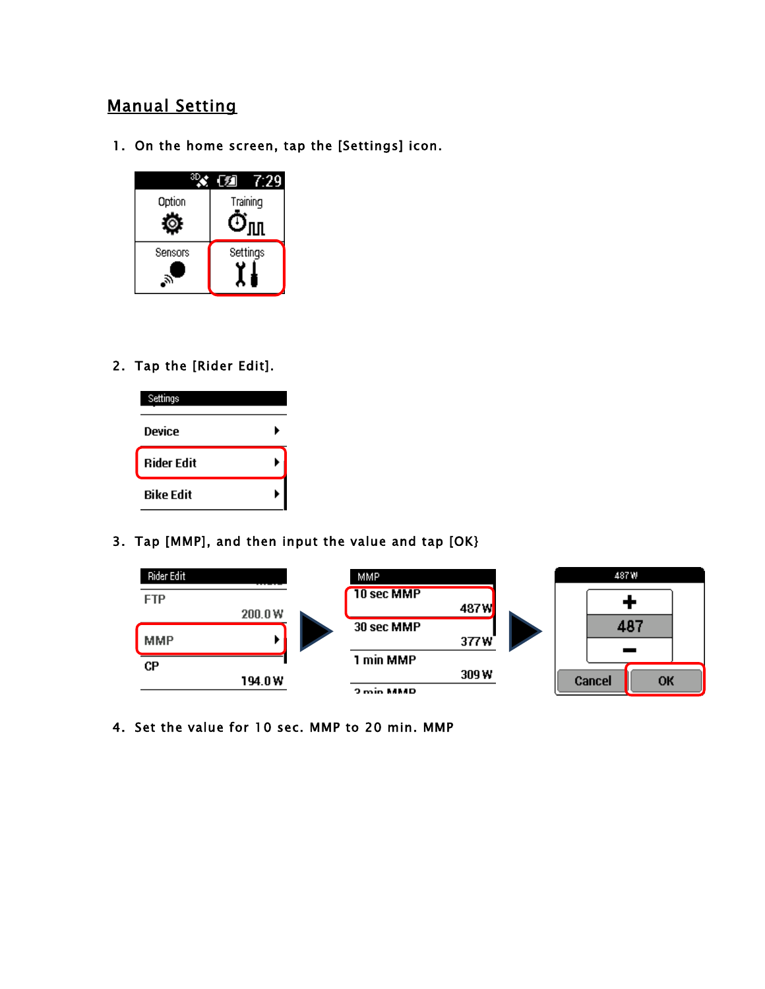## Manual Setting

1. On the home screen, tap the [Settings] icon.



2. Tap the [Rider Edit].



3. Tap [MMP], and then input the value and tap [OK}



4. Set the value for 10 sec. MMP to 20 min. MMP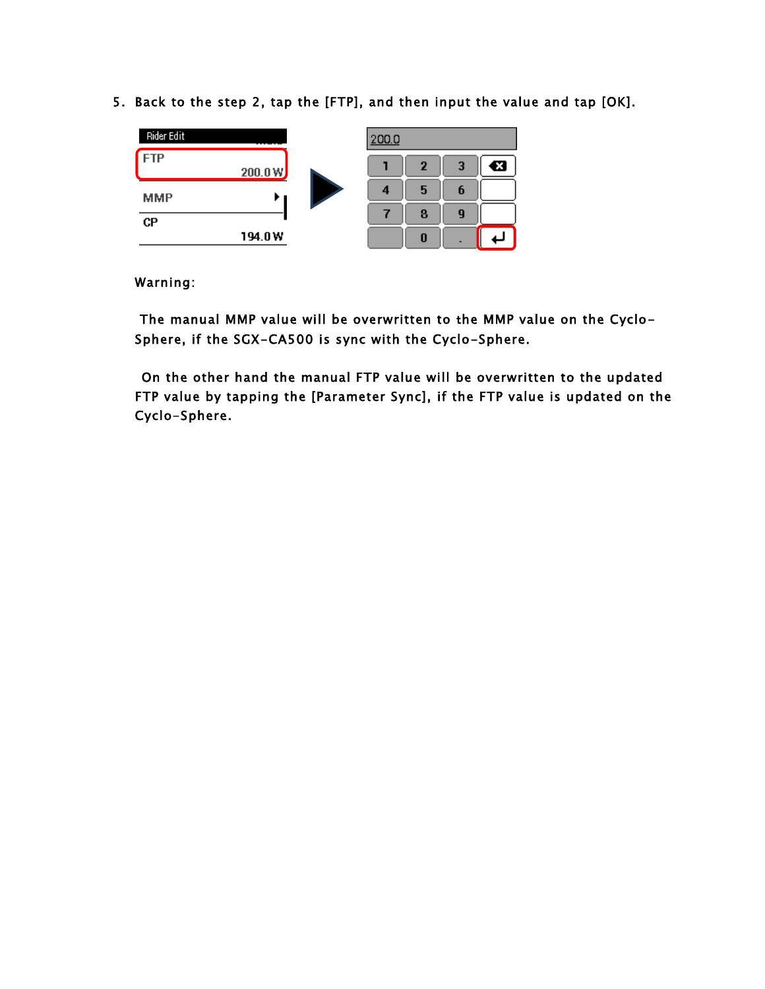5. Back to the step 2, tap the [FTP], and then input the value and tap [OK].



### Warning:

 The manual MMP value will be overwritten to the MMP value on the Cyclo-Sphere, if the SGX-CA500 is sync with the Cyclo-Sphere.

On the other hand the manual FTP value will be overwritten to the updated FTP value by tapping the [Parameter Sync], if the FTP value is updated on the Cyclo-Sphere.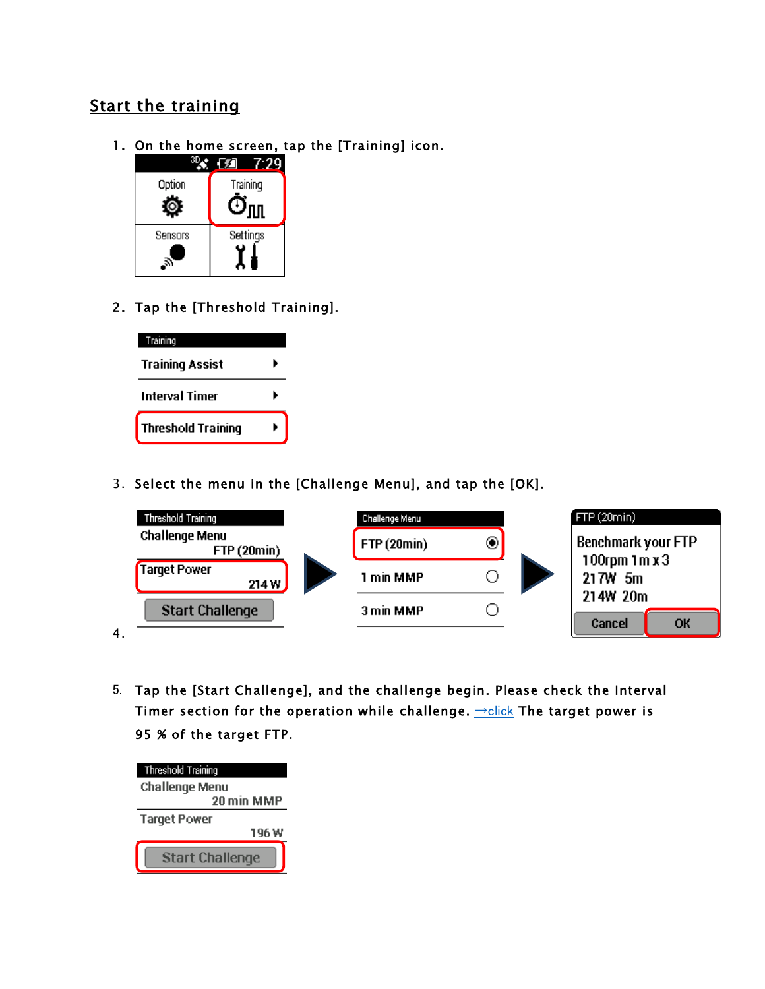# Start the training

1. On the home screen, tap the [Training] icon.



2. Tap the [Threshold Training].



3. Select the menu in the [Challenge Menu], and tap the [OK].



5. Tap the [Start Challenge], and the challenge begin. Please check the Interval Timer section for the operation while challenge.  $\rightarrow$ [click](https://cyclo-sphere.com/manual/update/cyclocomputer/en/CA500_intervaltimer_en.pdf) The target power is 95 % of the target FTP.

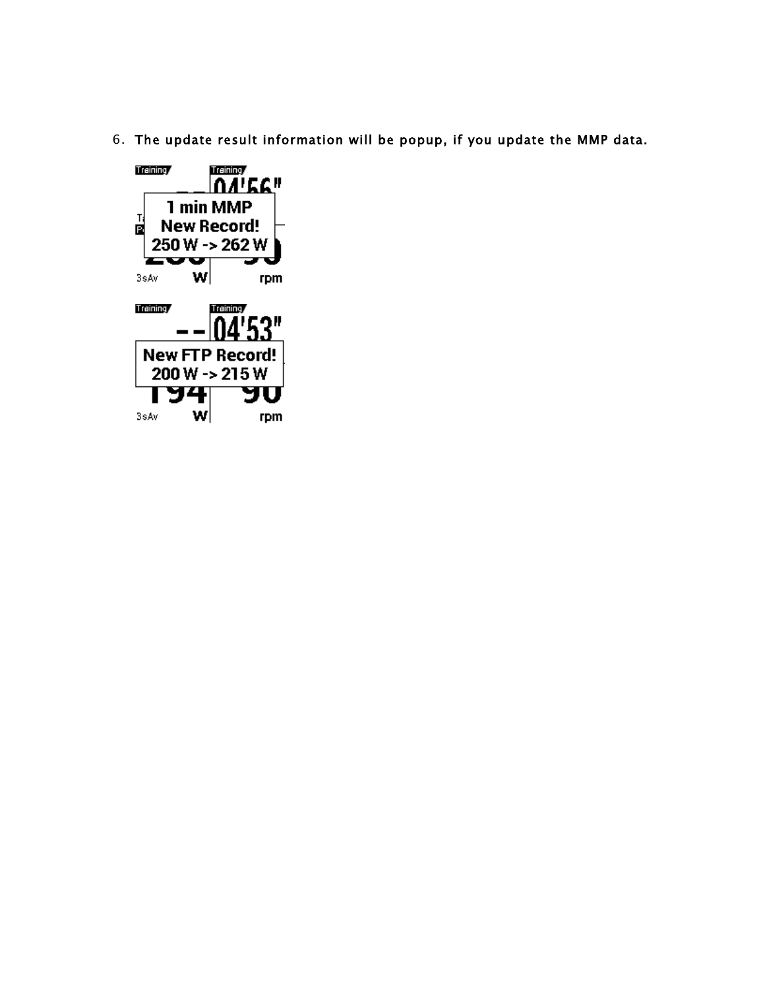6. The update result information will be popup, if you update the MMP data.